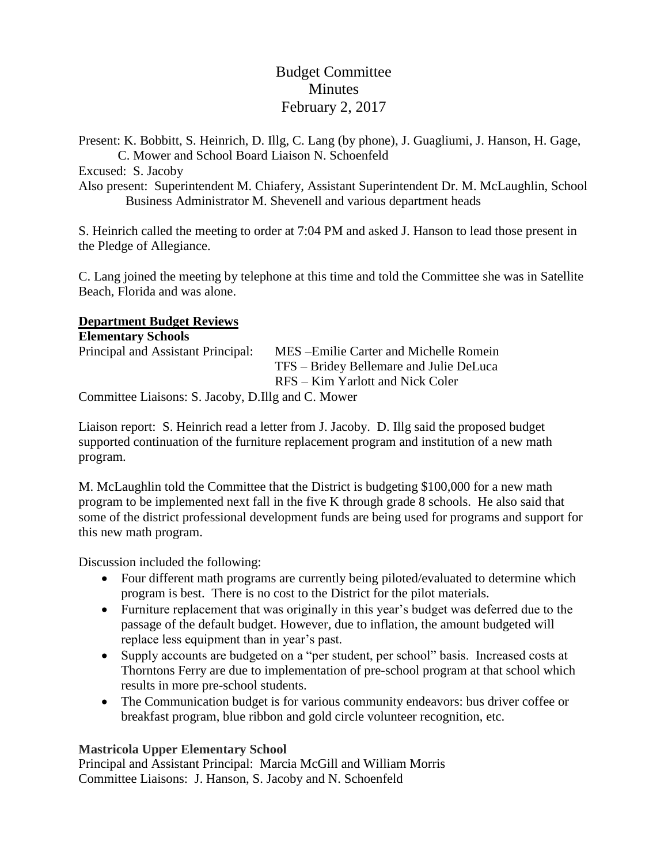# Budget Committee Minutes February 2, 2017

Present: K. Bobbitt, S. Heinrich, D. Illg, C. Lang (by phone), J. Guagliumi, J. Hanson, H. Gage, C. Mower and School Board Liaison N. Schoenfeld

Excused: S. Jacoby

Also present: Superintendent M. Chiafery, Assistant Superintendent Dr. M. McLaughlin, School Business Administrator M. Shevenell and various department heads

S. Heinrich called the meeting to order at 7:04 PM and asked J. Hanson to lead those present in the Pledge of Allegiance.

C. Lang joined the meeting by telephone at this time and told the Committee she was in Satellite Beach, Florida and was alone.

### **Department Budget Reviews**

| <b>Elementary Schools</b>                         |                                         |
|---------------------------------------------------|-----------------------------------------|
| Principal and Assistant Principal:                | MES – Emilie Carter and Michelle Romein |
|                                                   | TFS – Bridey Bellemare and Julie DeLuca |
|                                                   | RFS – Kim Yarlott and Nick Coler        |
| Committee Lisisons: $S$ Lacoby D Illo and C Mower |                                         |

Committee Liaisons: S. Jacoby, D.Illg and C. Mower

Liaison report: S. Heinrich read a letter from J. Jacoby. D. Illg said the proposed budget supported continuation of the furniture replacement program and institution of a new math program.

M. McLaughlin told the Committee that the District is budgeting \$100,000 for a new math program to be implemented next fall in the five K through grade 8 schools. He also said that some of the district professional development funds are being used for programs and support for this new math program.

Discussion included the following:

- Four different math programs are currently being piloted/evaluated to determine which program is best. There is no cost to the District for the pilot materials.
- Furniture replacement that was originally in this year's budget was deferred due to the passage of the default budget. However, due to inflation, the amount budgeted will replace less equipment than in year's past.
- Supply accounts are budgeted on a "per student, per school" basis. Increased costs at Thorntons Ferry are due to implementation of pre-school program at that school which results in more pre-school students.
- The Communication budget is for various community endeavors: bus driver coffee or breakfast program, blue ribbon and gold circle volunteer recognition, etc.

### **Mastricola Upper Elementary School**

Principal and Assistant Principal: Marcia McGill and William Morris Committee Liaisons: J. Hanson, S. Jacoby and N. Schoenfeld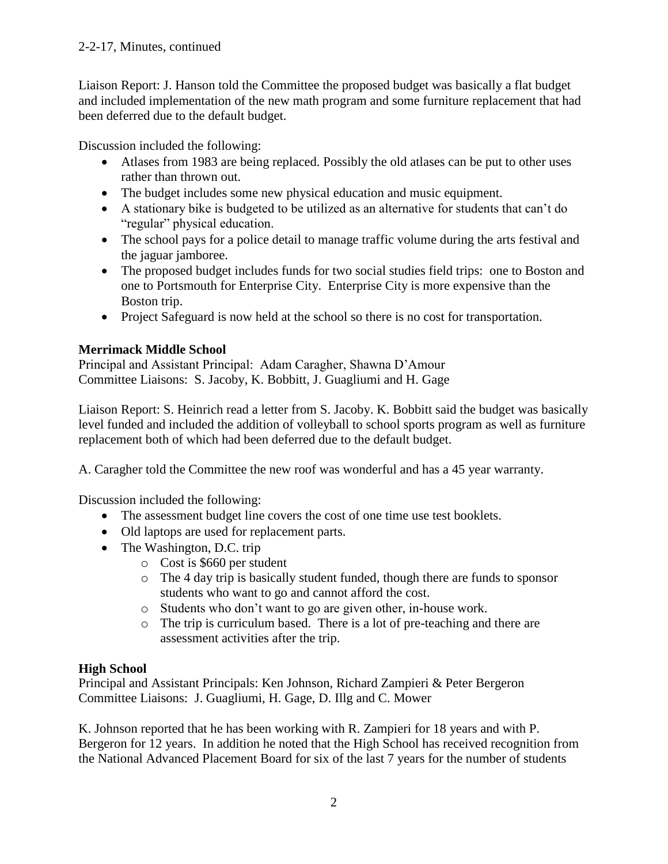Liaison Report: J. Hanson told the Committee the proposed budget was basically a flat budget and included implementation of the new math program and some furniture replacement that had been deferred due to the default budget.

Discussion included the following:

- Atlases from 1983 are being replaced. Possibly the old atlases can be put to other uses rather than thrown out.
- The budget includes some new physical education and music equipment.
- A stationary bike is budgeted to be utilized as an alternative for students that can't do "regular" physical education.
- The school pays for a police detail to manage traffic volume during the arts festival and the jaguar jamboree.
- The proposed budget includes funds for two social studies field trips: one to Boston and one to Portsmouth for Enterprise City. Enterprise City is more expensive than the Boston trip.
- Project Safeguard is now held at the school so there is no cost for transportation.

## **Merrimack Middle School**

Principal and Assistant Principal: Adam Caragher, Shawna D'Amour Committee Liaisons: S. Jacoby, K. Bobbitt, J. Guagliumi and H. Gage

Liaison Report: S. Heinrich read a letter from S. Jacoby. K. Bobbitt said the budget was basically level funded and included the addition of volleyball to school sports program as well as furniture replacement both of which had been deferred due to the default budget.

A. Caragher told the Committee the new roof was wonderful and has a 45 year warranty.

Discussion included the following:

- The assessment budget line covers the cost of one time use test booklets.
- Old laptops are used for replacement parts.
- The Washington, D.C. trip
	- o Cost is \$660 per student
	- o The 4 day trip is basically student funded, though there are funds to sponsor students who want to go and cannot afford the cost.
	- o Students who don't want to go are given other, in-house work.
	- o The trip is curriculum based. There is a lot of pre-teaching and there are assessment activities after the trip.

## **High School**

Principal and Assistant Principals: Ken Johnson, Richard Zampieri & Peter Bergeron Committee Liaisons: J. Guagliumi, H. Gage, D. Illg and C. Mower

K. Johnson reported that he has been working with R. Zampieri for 18 years and with P. Bergeron for 12 years. In addition he noted that the High School has received recognition from the National Advanced Placement Board for six of the last 7 years for the number of students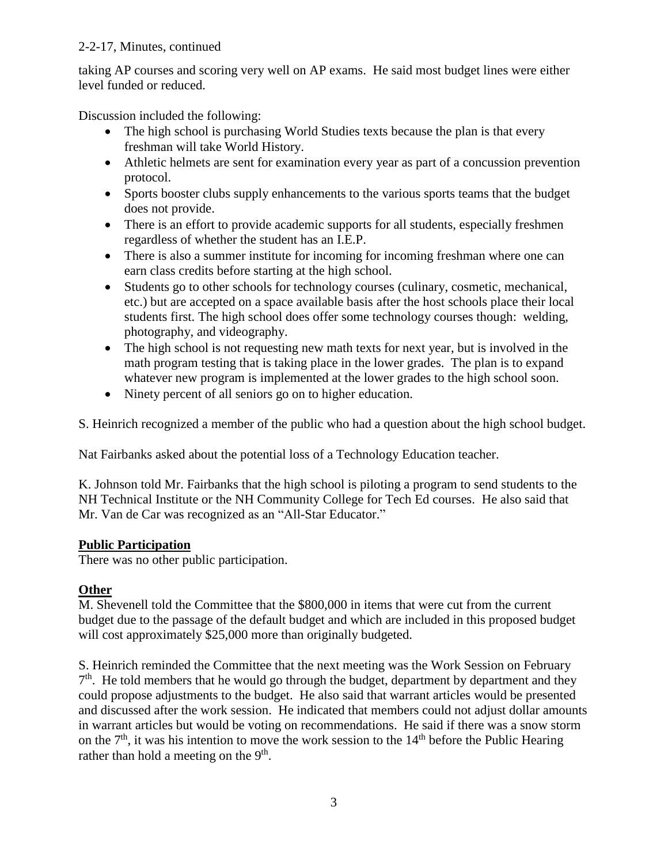### 2-2-17, Minutes, continued

taking AP courses and scoring very well on AP exams. He said most budget lines were either level funded or reduced.

Discussion included the following:

- The high school is purchasing World Studies texts because the plan is that every freshman will take World History.
- Athletic helmets are sent for examination every year as part of a concussion prevention protocol.
- Sports booster clubs supply enhancements to the various sports teams that the budget does not provide.
- There is an effort to provide academic supports for all students, especially freshmen regardless of whether the student has an I.E.P.
- There is also a summer institute for incoming for incoming freshman where one can earn class credits before starting at the high school.
- Students go to other schools for technology courses (culinary, cosmetic, mechanical, etc.) but are accepted on a space available basis after the host schools place their local students first. The high school does offer some technology courses though: welding, photography, and videography.
- The high school is not requesting new math texts for next year, but is involved in the math program testing that is taking place in the lower grades. The plan is to expand whatever new program is implemented at the lower grades to the high school soon.
- Ninety percent of all seniors go on to higher education.

S. Heinrich recognized a member of the public who had a question about the high school budget.

Nat Fairbanks asked about the potential loss of a Technology Education teacher.

K. Johnson told Mr. Fairbanks that the high school is piloting a program to send students to the NH Technical Institute or the NH Community College for Tech Ed courses. He also said that Mr. Van de Car was recognized as an "All-Star Educator."

### **Public Participation**

There was no other public participation.

### **Other**

M. Shevenell told the Committee that the \$800,000 in items that were cut from the current budget due to the passage of the default budget and which are included in this proposed budget will cost approximately \$25,000 more than originally budgeted.

S. Heinrich reminded the Committee that the next meeting was the Work Session on February 7<sup>th</sup>. He told members that he would go through the budget, department by department and they could propose adjustments to the budget. He also said that warrant articles would be presented and discussed after the work session. He indicated that members could not adjust dollar amounts in warrant articles but would be voting on recommendations. He said if there was a snow storm on the  $7<sup>th</sup>$ , it was his intention to move the work session to the  $14<sup>th</sup>$  before the Public Hearing rather than hold a meeting on the  $9<sup>th</sup>$ .